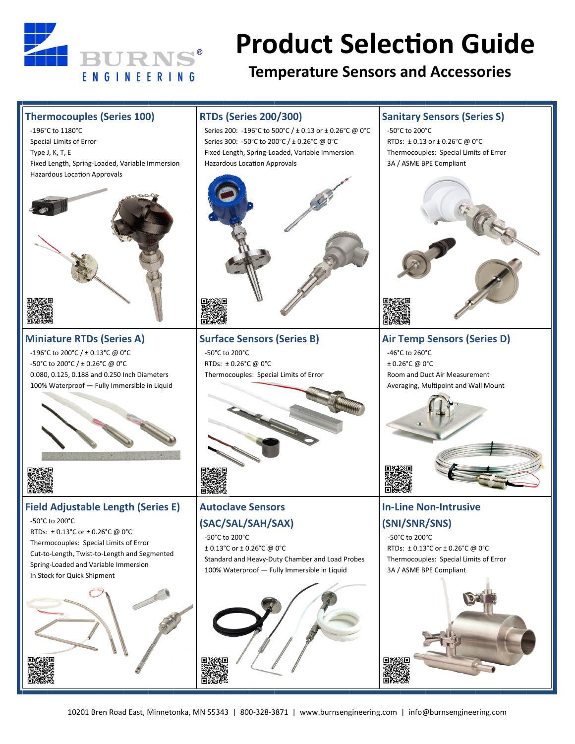

# **Product Selection Guide**

## **Temperature Sensors and Accessories**

#### **Thermocouples (Series 100)**

 -196°C to 1180°C Special Limits of Error Type J, K, T, E Fixed Length, Spring-Loaded, Variable Immersion Hazardous Location Approvals



**Miniature RTDs (Series A)** -196°C to 200°C / ± 0.13°C @ 0°C -50°C to 200°C / ± 0.26°C @ 0°C 0.080, 0.125, 0.188 and 0.250 Inch Diameters 100% Waterproof — Fully Immersible in Liquid





#### **Field Adjustable Length (Series E)**

-50°C to 200°C

 RTDs: ± 0.13°C or ± 0.26°C @ 0°C Thermocouples: Special Limits of Error Cut-to-Length, Twist-to-Length and Segmented Spring-Loaded and Variable Immersion In Stock for Quick Shipment



## **RTDs (Series 200/300)**

 Series 200: -196°C to 500°C / ± 0.13 or ± 0.26°C @ 0°C Series 300: -50°C to 200°C / ± 0.26°C @ 0°C Fixed Length, Spring-Loaded, Variable Immersion Hazardous Location Approvals



**Surface Sensors (Series B)** -50°C to 200°C RTDs: ± 0.26°C @ 0°C Thermocouples: Special Limits of Error



### **Autoclave Sensors (SAC/SAL/SAH/SAX)**

 -50°C to 200°C ± 0.13°C or ± 0.26°C @ 0°C Standard and Heavy-Duty Chamber and Load Probes 100% Waterproof — Fully Immersible in Liquid



#### **Sanitary Sensors (Series S)**

 -50°C to 200°C RTDs: ± 0.13 or ± 0.26°C @ 0°C Thermocouples: Special Limits of Error 3A / ASME BPE Compliant



**Air Temp Sensors (Series D)** -46°C to 260°C ± 0.26°C @ 0°C Room and Duct Air Measurement Averaging, Multipoint and Wall Mount



## **In-Line Non-Intrusive (SNI/SNR/SNS)**

 -50°C to 200°C RTDs: ± 0.13°C or ± 0.26°C @ 0°C Thermocouples: Special Limits of Error 3A / ASME BPE Compliant